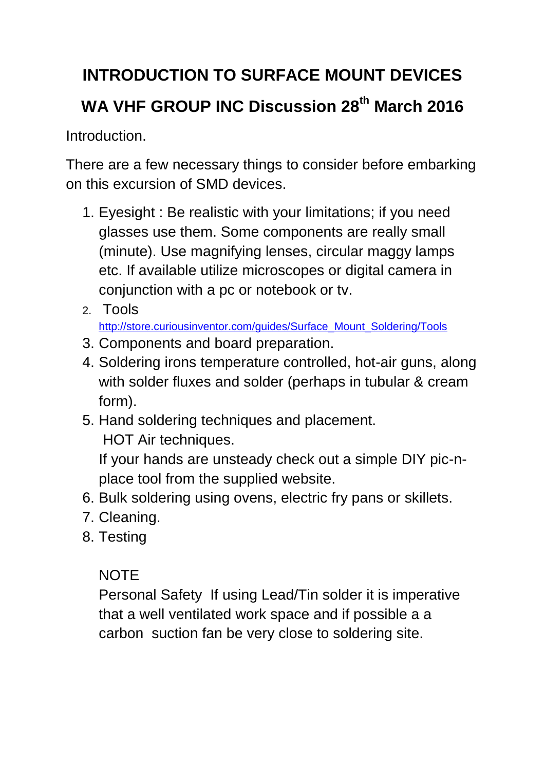# **INTRODUCTION TO SURFACE MOUNT DEVICES WA VHF GROUP INC Discussion 28th March 2016**

**Introduction** 

There are a few necessary things to consider before embarking on this excursion of SMD devices.

- 1. Eyesight : Be realistic with your limitations; if you need glasses use them. Some components are really small (minute). Use magnifying lenses, circular maggy lamps etc. If available utilize microscopes or digital camera in conjunction with a pc or notebook or tv.
- 2. Tools

[http://store.curiousinventor.com/guides/Surface\\_Mount\\_Soldering/Tools](http://store.curiousinventor.com/guides/Surface_Mount_Soldering/Tools)

- 3. Components and board preparation.
- 4. Soldering irons temperature controlled, hot-air guns, along with solder fluxes and solder (perhaps in tubular & cream form).
- 5. Hand soldering techniques and placement. HOT Air techniques.

If your hands are unsteady check out a simple DIY pic-nplace tool from the supplied website.

- 6. Bulk soldering using ovens, electric fry pans or skillets.
- 7. Cleaning.
- 8. Testing

### NOTE

Personal Safety If using Lead/Tin solder it is imperative that a well ventilated work space and if possible a a carbon suction fan be very close to soldering site.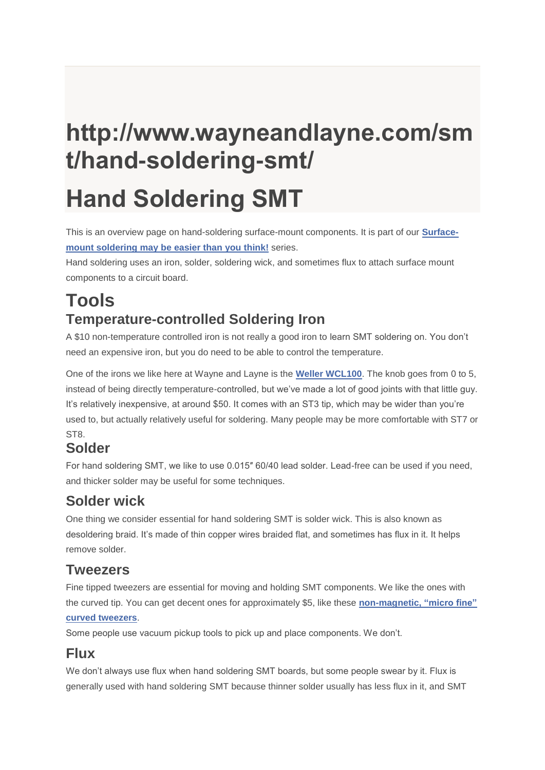# **http://www.wayneandlayne.com/sm t/hand-soldering-smt/ Hand Soldering SMT**

This is an overview page on hand-soldering surface-mount components. It is part of our **[Surface](http://www.wayneandlayne.com/smt/)mount [soldering](http://www.wayneandlayne.com/smt/) may be easier than you think!** series.

Hand soldering uses an iron, solder, soldering wick, and sometimes flux to attach surface mount components to a circuit board.

# **Tools Temperature-controlled Soldering Iron**

A \$10 non-temperature controlled iron is not really a good iron to learn SMT soldering on. You don't need an expensive iron, but you do need to be able to control the temperature.

One of the irons we like here at Wayne and Layne is the **Weller [WCL100](http://www.amazon.com/Weller-WLC100-40-Watt-Soldering-Station/dp/B000AS28UC)**. The knob goes from 0 to 5, instead of being directly temperature-controlled, but we've made a lot of good joints with that little guy. It's relatively inexpensive, at around \$50. It comes with an ST3 tip, which may be wider than you're used to, but actually relatively useful for soldering. Many people may be more comfortable with ST7 or ST<sub>8</sub>.

#### **Solder**

For hand soldering SMT, we like to use 0.015″ 60/40 lead solder. Lead-free can be used if you need, and thicker solder may be useful for some techniques.

#### **Solder wick**

One thing we consider essential for hand soldering SMT is solder wick. This is also known as desoldering braid. It's made of thin copper wires braided flat, and sometimes has flux in it. It helps remove solder.

#### **Tweezers**

Fine tipped tweezers are essential for moving and holding SMT components. We like the ones with the curved tip. You can get decent ones for approximately \$5, like these **[non-magnetic,](http://parts.digikey.com/1/parts/995591-tweezer-curved-precision-tip-erop7sa.html) "micro fine" curved [tweezers](http://parts.digikey.com/1/parts/995591-tweezer-curved-precision-tip-erop7sa.html)**.

Some people use vacuum pickup tools to pick up and place components. We don't.

#### **Flux**

We don't always use flux when hand soldering SMT boards, but some people swear by it. Flux is generally used with hand soldering SMT because thinner solder usually has less flux in it, and SMT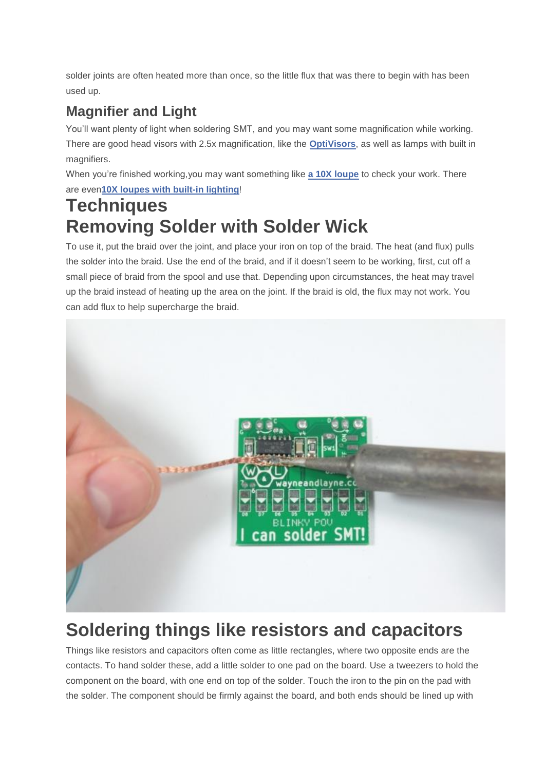solder joints are often heated more than once, so the little flux that was there to begin with has been used up.

## **Magnifier and Light**

You'll want plenty of light when soldering SMT, and you may want some magnification while working. There are good head visors with 2.5x magnification, like the **[OptiVisors](http://www.adafruit.com/products/293)**, as well as lamps with built in magnifiers.

When you're finished working,you may want something like **a 10X [loupe](http://parts.digikey.com/1/parts/986686-magnifier-eye-loupe-10x-1-lens-26034.html)** to check your work. There are even**10X loupes with built-in [lighting](http://parts.digikey.com/1/parts/2534107-eye-loupe-led-light-26034-led.html)**!

# **Techniques Removing Solder with Solder Wick**

To use it, put the braid over the joint, and place your iron on top of the braid. The heat (and flux) pulls the solder into the braid. Use the end of the braid, and if it doesn't seem to be working, first, cut off a small piece of braid from the spool and use that. Depending upon circumstances, the heat may travel up the braid instead of heating up the area on the joint. If the braid is old, the flux may not work. You can add flux to help supercharge the braid.



# **Soldering things like resistors and capacitors**

Things like resistors and capacitors often come as little rectangles, where two opposite ends are the contacts. To hand solder these, add a little solder to one pad on the board. Use a tweezers to hold the component on the board, with one end on top of the solder. Touch the iron to the pin on the pad with the solder. The component should be firmly against the board, and both ends should be lined up with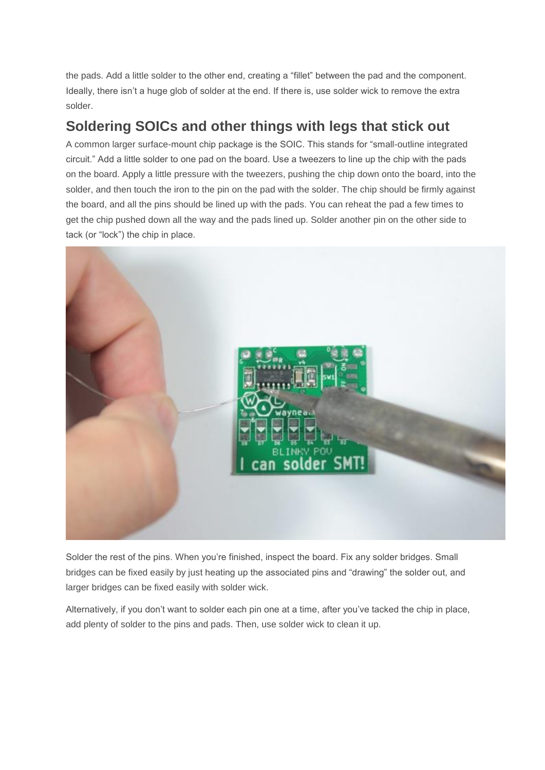the pads. Add a little solder to the other end, creating a "fillet" between the pad and the component. Ideally, there isn't a huge glob of solder at the end. If there is, use solder wick to remove the extra solder.

#### **Soldering SOICs and other things with legs that stick out**

A common larger surface-mount chip package is the SOIC. This stands for "small-outline integrated circuit." Add a little solder to one pad on the board. Use a tweezers to line up the chip with the pads on the board. Apply a little pressure with the tweezers, pushing the chip down onto the board, into the solder, and then touch the iron to the pin on the pad with the solder. The chip should be firmly against the board, and all the pins should be lined up with the pads. You can reheat the pad a few times to get the chip pushed down all the way and the pads lined up. Solder another pin on the other side to tack (or "lock") the chip in place.



Solder the rest of the pins. When you're finished, inspect the board. Fix any solder bridges. Small bridges can be fixed easily by just heating up the associated pins and "drawing" the solder out, and larger bridges can be fixed easily with solder wick.

Alternatively, if you don't want to solder each pin one at a time, after you've tacked the chip in place, add plenty of solder to the pins and pads. Then, use solder wick to clean it up.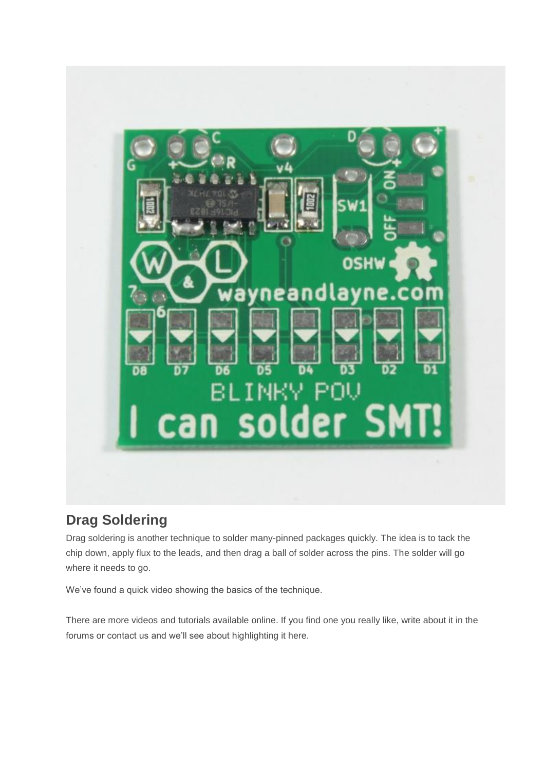

#### **Drag Soldering**

Drag soldering is another technique to solder many-pinned packages quickly. The idea is to tack the chip down, apply flux to the leads, and then drag a ball of solder across the pins. The solder will go where it needs to go.

We've found a quick video showing the basics of the technique.

There are more videos and tutorials available online. If you find one you really like, write about it in the forums or contact us and we'll see about highlighting it here.